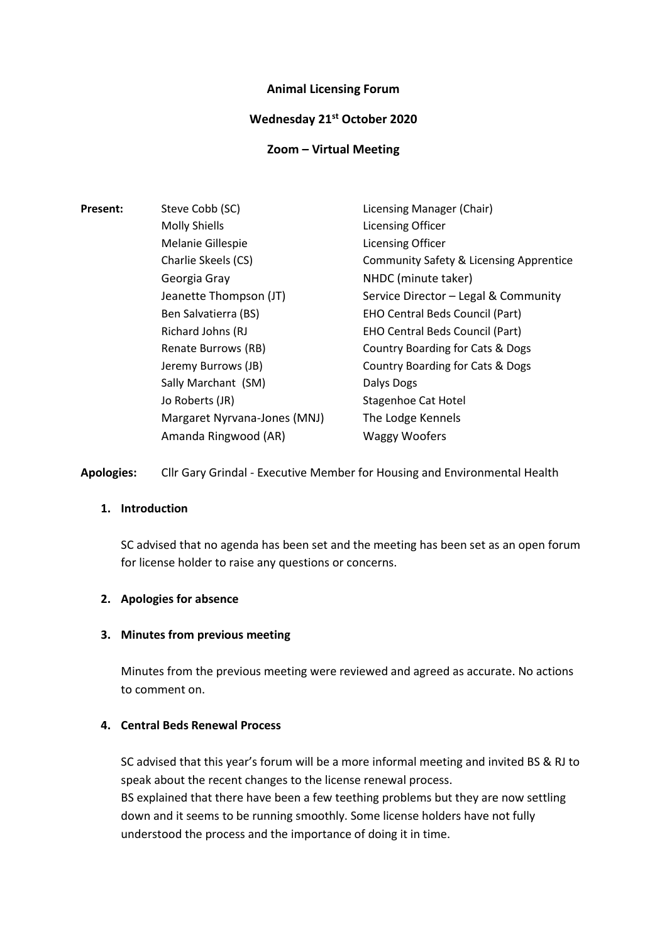#### **Animal Licensing Forum**

#### **Wednesday 21st October 2020**

#### **Zoom – Virtual Meeting**

| <b>Present:</b> | Steve Cobb (SC)              | Licensing Manager (Chair)                          |
|-----------------|------------------------------|----------------------------------------------------|
|                 | <b>Molly Shiells</b>         | Licensing Officer                                  |
|                 | Melanie Gillespie            | Licensing Officer                                  |
|                 | Charlie Skeels (CS)          | <b>Community Safety &amp; Licensing Apprentice</b> |
|                 | Georgia Gray                 | NHDC (minute taker)                                |
|                 | Jeanette Thompson (JT)       | Service Director - Legal & Community               |
|                 | Ben Salvatierra (BS)         | <b>EHO Central Beds Council (Part)</b>             |
|                 | Richard Johns (RJ            | <b>EHO Central Beds Council (Part)</b>             |
|                 | Renate Burrows (RB)          | Country Boarding for Cats & Dogs                   |
|                 | Jeremy Burrows (JB)          | Country Boarding for Cats & Dogs                   |
|                 | Sally Marchant (SM)          | Dalys Dogs                                         |
|                 | Jo Roberts (JR)              | Stagenhoe Cat Hotel                                |
|                 | Margaret Nyrvana-Jones (MNJ) | The Lodge Kennels                                  |
|                 | Amanda Ringwood (AR)         | <b>Waggy Woofers</b>                               |

**Apologies:** Cllr Gary Grindal - Executive Member for Housing and Environmental Health

### **1. Introduction**

SC advised that no agenda has been set and the meeting has been set as an open forum for license holder to raise any questions or concerns.

#### **2. Apologies for absence**

#### **3. Minutes from previous meeting**

Minutes from the previous meeting were reviewed and agreed as accurate. No actions to comment on.

#### **4. Central Beds Renewal Process**

SC advised that this year's forum will be a more informal meeting and invited BS & RJ to speak about the recent changes to the license renewal process. BS explained that there have been a few teething problems but they are now settling down and it seems to be running smoothly. Some license holders have not fully understood the process and the importance of doing it in time.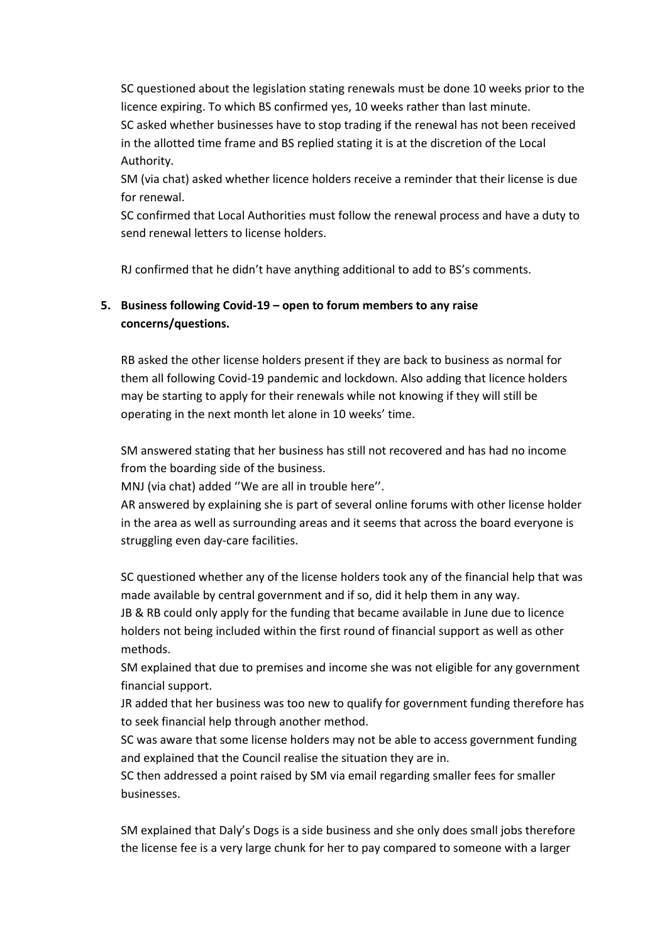SC questioned about the legislation stating renewals must be done 10 weeks prior to the licence expiring. To which BS confirmed yes, 10 weeks rather than last minute. SC asked whether businesses have to stop trading if the renewal has not been received in the allotted time frame and BS replied stating it is at the discretion of the Local Authority.

SM (via chat) asked whether licence holders receive a reminder that their license is due for renewal.

SC confirmed that Local Authorities must follow the renewal process and have a duty to send renewal letters to license holders.

RJ confirmed that he didn't have anything additional to add to BS's comments.

# **5. Business following Covid-19 – open to forum members to any raise concerns/questions.**

RB asked the other license holders present if they are back to business as normal for them all following Covid-19 pandemic and lockdown. Also adding that licence holders may be starting to apply for their renewals while not knowing if they will still be operating in the next month let alone in 10 weeks' time.

SM answered stating that her business has still not recovered and has had no income from the boarding side of the business.

MNJ (via chat) added ''We are all in trouble here''.

AR answered by explaining she is part of several online forums with other license holder in the area as well as surrounding areas and it seems that across the board everyone is struggling even day-care facilities.

SC questioned whether any of the license holders took any of the financial help that was made available by central government and if so, did it help them in any way. JB & RB could only apply for the funding that became available in June due to licence holders not being included within the first round of financial support as well as other methods.

SM explained that due to premises and income she was not eligible for any government financial support.

JR added that her business was too new to qualify for government funding therefore has to seek financial help through another method.

SC was aware that some license holders may not be able to access government funding and explained that the Council realise the situation they are in.

SC then addressed a point raised by SM via email regarding smaller fees for smaller businesses.

SM explained that Daly's Dogs is a side business and she only does small jobs therefore the license fee is a very large chunk for her to pay compared to someone with a larger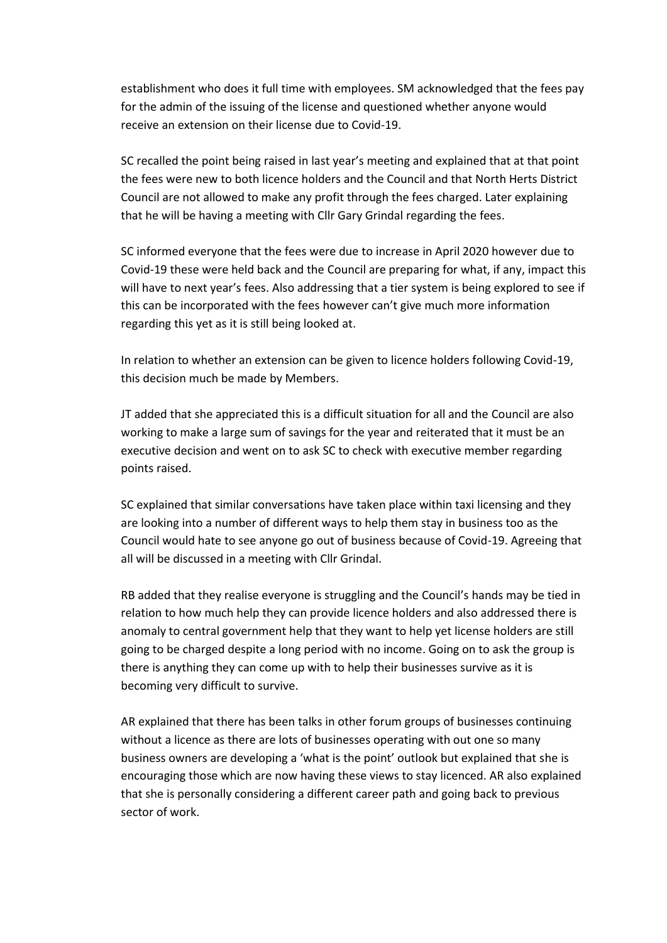establishment who does it full time with employees. SM acknowledged that the fees pay for the admin of the issuing of the license and questioned whether anyone would receive an extension on their license due to Covid-19.

SC recalled the point being raised in last year's meeting and explained that at that point the fees were new to both licence holders and the Council and that North Herts District Council are not allowed to make any profit through the fees charged. Later explaining that he will be having a meeting with Cllr Gary Grindal regarding the fees.

SC informed everyone that the fees were due to increase in April 2020 however due to Covid-19 these were held back and the Council are preparing for what, if any, impact this will have to next year's fees. Also addressing that a tier system is being explored to see if this can be incorporated with the fees however can't give much more information regarding this yet as it is still being looked at.

In relation to whether an extension can be given to licence holders following Covid-19, this decision much be made by Members.

JT added that she appreciated this is a difficult situation for all and the Council are also working to make a large sum of savings for the year and reiterated that it must be an executive decision and went on to ask SC to check with executive member regarding points raised.

SC explained that similar conversations have taken place within taxi licensing and they are looking into a number of different ways to help them stay in business too as the Council would hate to see anyone go out of business because of Covid-19. Agreeing that all will be discussed in a meeting with Cllr Grindal.

RB added that they realise everyone is struggling and the Council's hands may be tied in relation to how much help they can provide licence holders and also addressed there is anomaly to central government help that they want to help yet license holders are still going to be charged despite a long period with no income. Going on to ask the group is there is anything they can come up with to help their businesses survive as it is becoming very difficult to survive.

AR explained that there has been talks in other forum groups of businesses continuing without a licence as there are lots of businesses operating with out one so many business owners are developing a 'what is the point' outlook but explained that she is encouraging those which are now having these views to stay licenced. AR also explained that she is personally considering a different career path and going back to previous sector of work.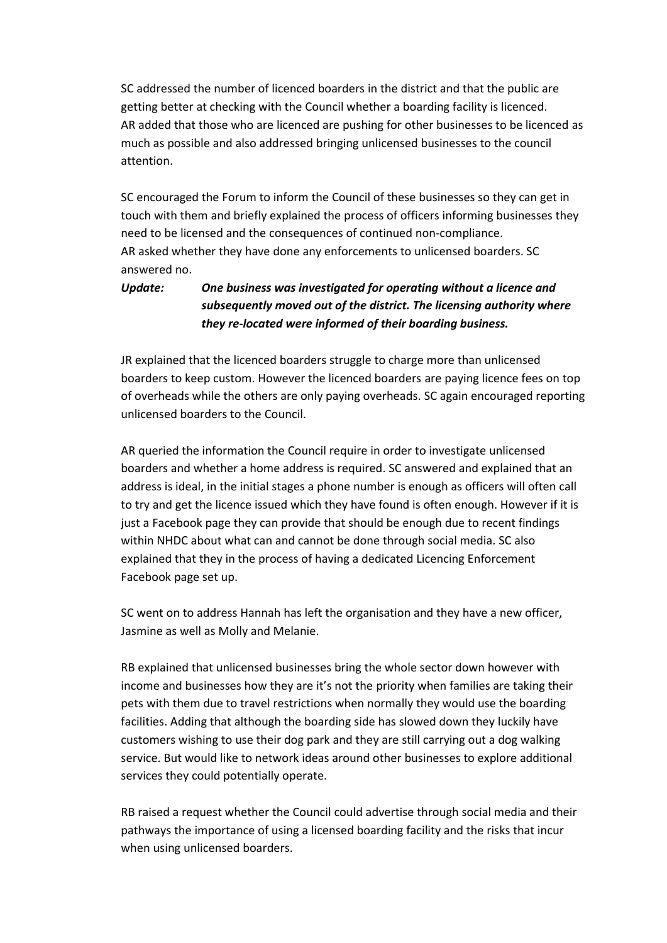SC addressed the number of licenced boarders in the district and that the public are getting better at checking with the Council whether a boarding facility is licenced. AR added that those who are licenced are pushing for other businesses to be licenced as much as possible and also addressed bringing unlicensed businesses to the council attention.

SC encouraged the Forum to inform the Council of these businesses so they can get in touch with them and briefly explained the process of officers informing businesses they need to be licensed and the consequences of continued non-compliance. AR asked whether they have done any enforcements to unlicensed boarders. SC answered no.

# *Update: One business was investigated for operating without a licence and subsequently moved out of the district. The licensing authority where they re-located were informed of their boarding business.*

JR explained that the licenced boarders struggle to charge more than unlicensed boarders to keep custom. However the licenced boarders are paying licence fees on top of overheads while the others are only paying overheads. SC again encouraged reporting unlicensed boarders to the Council.

AR queried the information the Council require in order to investigate unlicensed boarders and whether a home address is required. SC answered and explained that an address is ideal, in the initial stages a phone number is enough as officers will often call to try and get the licence issued which they have found is often enough. However if it is just a Facebook page they can provide that should be enough due to recent findings within NHDC about what can and cannot be done through social media. SC also explained that they in the process of having a dedicated Licencing Enforcement Facebook page set up.

SC went on to address Hannah has left the organisation and they have a new officer, Jasmine as well as Molly and Melanie.

RB explained that unlicensed businesses bring the whole sector down however with income and businesses how they are it's not the priority when families are taking their pets with them due to travel restrictions when normally they would use the boarding facilities. Adding that although the boarding side has slowed down they luckily have customers wishing to use their dog park and they are still carrying out a dog walking service. But would like to network ideas around other businesses to explore additional services they could potentially operate.

RB raised a request whether the Council could advertise through social media and their pathways the importance of using a licensed boarding facility and the risks that incur when using unlicensed boarders.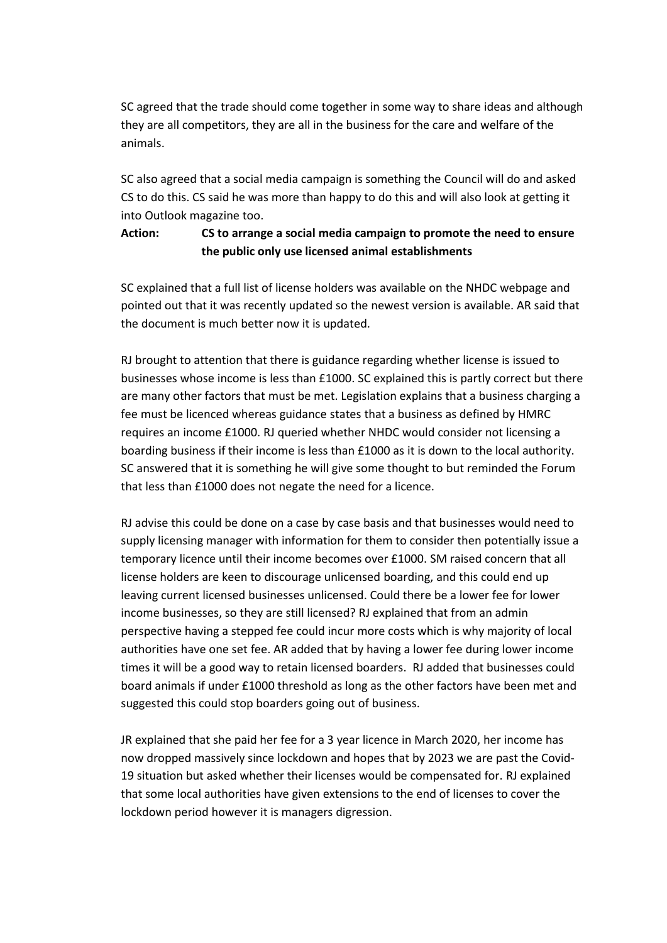SC agreed that the trade should come together in some way to share ideas and although they are all competitors, they are all in the business for the care and welfare of the animals.

SC also agreed that a social media campaign is something the Council will do and asked CS to do this. CS said he was more than happy to do this and will also look at getting it into Outlook magazine too.

## **Action: CS to arrange a social media campaign to promote the need to ensure the public only use licensed animal establishments**

SC explained that a full list of license holders was available on the NHDC webpage and pointed out that it was recently updated so the newest version is available. AR said that the document is much better now it is updated.

RJ brought to attention that there is guidance regarding whether license is issued to businesses whose income is less than £1000. SC explained this is partly correct but there are many other factors that must be met. Legislation explains that a business charging a fee must be licenced whereas guidance states that a business as defined by HMRC requires an income £1000. RJ queried whether NHDC would consider not licensing a boarding business if their income is less than £1000 as it is down to the local authority. SC answered that it is something he will give some thought to but reminded the Forum that less than £1000 does not negate the need for a licence.

RJ advise this could be done on a case by case basis and that businesses would need to supply licensing manager with information for them to consider then potentially issue a temporary licence until their income becomes over £1000. SM raised concern that all license holders are keen to discourage unlicensed boarding, and this could end up leaving current licensed businesses unlicensed. Could there be a lower fee for lower income businesses, so they are still licensed? RJ explained that from an admin perspective having a stepped fee could incur more costs which is why majority of local authorities have one set fee. AR added that by having a lower fee during lower income times it will be a good way to retain licensed boarders. RJ added that businesses could board animals if under £1000 threshold as long as the other factors have been met and suggested this could stop boarders going out of business.

JR explained that she paid her fee for a 3 year licence in March 2020, her income has now dropped massively since lockdown and hopes that by 2023 we are past the Covid-19 situation but asked whether their licenses would be compensated for. RJ explained that some local authorities have given extensions to the end of licenses to cover the lockdown period however it is managers digression.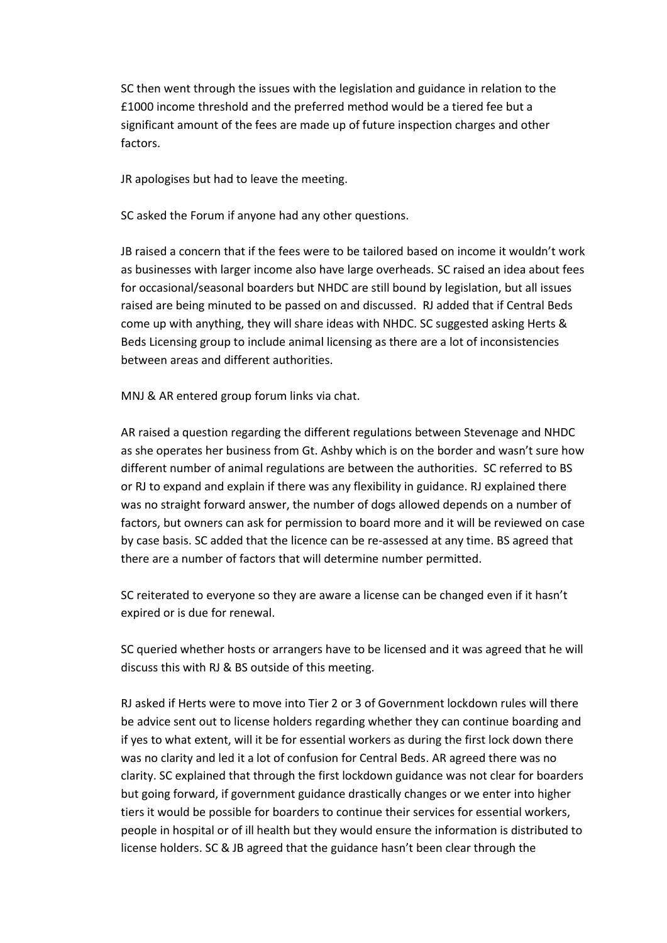SC then went through the issues with the legislation and guidance in relation to the £1000 income threshold and the preferred method would be a tiered fee but a significant amount of the fees are made up of future inspection charges and other factors.

JR apologises but had to leave the meeting.

SC asked the Forum if anyone had any other questions.

JB raised a concern that if the fees were to be tailored based on income it wouldn't work as businesses with larger income also have large overheads. SC raised an idea about fees for occasional/seasonal boarders but NHDC are still bound by legislation, but all issues raised are being minuted to be passed on and discussed. RJ added that if Central Beds come up with anything, they will share ideas with NHDC. SC suggested asking Herts & Beds Licensing group to include animal licensing as there are a lot of inconsistencies between areas and different authorities.

MNJ & AR entered group forum links via chat.

AR raised a question regarding the different regulations between Stevenage and NHDC as she operates her business from Gt. Ashby which is on the border and wasn't sure how different number of animal regulations are between the authorities. SC referred to BS or RJ to expand and explain if there was any flexibility in guidance. RJ explained there was no straight forward answer, the number of dogs allowed depends on a number of factors, but owners can ask for permission to board more and it will be reviewed on case by case basis. SC added that the licence can be re-assessed at any time. BS agreed that there are a number of factors that will determine number permitted.

SC reiterated to everyone so they are aware a license can be changed even if it hasn't expired or is due for renewal.

SC queried whether hosts or arrangers have to be licensed and it was agreed that he will discuss this with RJ & BS outside of this meeting.

RJ asked if Herts were to move into Tier 2 or 3 of Government lockdown rules will there be advice sent out to license holders regarding whether they can continue boarding and if yes to what extent, will it be for essential workers as during the first lock down there was no clarity and led it a lot of confusion for Central Beds. AR agreed there was no clarity. SC explained that through the first lockdown guidance was not clear for boarders but going forward, if government guidance drastically changes or we enter into higher tiers it would be possible for boarders to continue their services for essential workers, people in hospital or of ill health but they would ensure the information is distributed to license holders. SC & JB agreed that the guidance hasn't been clear through the